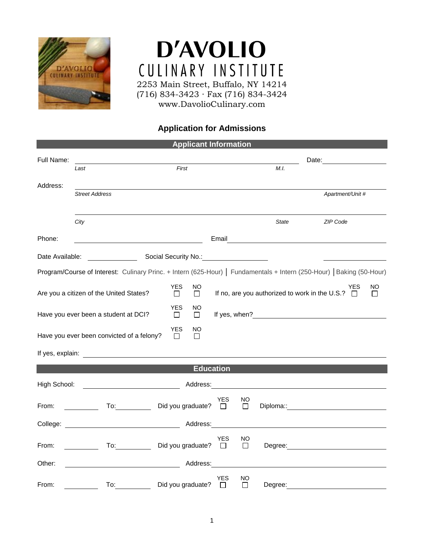

## **D'AVOLIO** CULINARY INSTITUTE 2253 Main Street, Buffalo, NY 14214 (716) 834-3423 ∙ Fax (716) 834-3424

www.DavolioCulinary.com

## **Application for Admissions**

| <b>Applicant Information</b> |                                                                                                                                                                                                                               |                                                              |              |                                       |                                                |                                                                                                                                                                                                                               |                       |               |  |  |  |  |
|------------------------------|-------------------------------------------------------------------------------------------------------------------------------------------------------------------------------------------------------------------------------|--------------------------------------------------------------|--------------|---------------------------------------|------------------------------------------------|-------------------------------------------------------------------------------------------------------------------------------------------------------------------------------------------------------------------------------|-----------------------|---------------|--|--|--|--|
| Full Name:                   |                                                                                                                                                                                                                               |                                                              |              |                                       | Date:                                          |                                                                                                                                                                                                                               |                       |               |  |  |  |  |
|                              | First<br>Last                                                                                                                                                                                                                 |                                                              |              |                                       | M.I.                                           |                                                                                                                                                                                                                               |                       |               |  |  |  |  |
| Address:                     | <b>Street Address</b>                                                                                                                                                                                                         |                                                              |              |                                       |                                                |                                                                                                                                                                                                                               | Apartment/Unit #      |               |  |  |  |  |
|                              |                                                                                                                                                                                                                               |                                                              |              |                                       |                                                |                                                                                                                                                                                                                               |                       |               |  |  |  |  |
|                              | City                                                                                                                                                                                                                          |                                                              |              |                                       | <b>State</b>                                   |                                                                                                                                                                                                                               | ZIP Code              |               |  |  |  |  |
| Phone:                       |                                                                                                                                                                                                                               |                                                              |              |                                       |                                                |                                                                                                                                                                                                                               |                       |               |  |  |  |  |
| Date Available:              |                                                                                                                                                                                                                               | Social Security No.: No.: Note that the second security No.: |              |                                       |                                                |                                                                                                                                                                                                                               |                       |               |  |  |  |  |
|                              | Program/Course of Interest: Culinary Princ. + Intern (625-Hour)   Fundamentals + Intern (250-Hour)   Baking (50-Hour)                                                                                                         |                                                              |              |                                       |                                                |                                                                                                                                                                                                                               |                       |               |  |  |  |  |
|                              | Are you a citizen of the United States?                                                                                                                                                                                       | YES<br>□                                                     | ΝO<br>П      |                                       | If no, are you authorized to work in the U.S.? |                                                                                                                                                                                                                               | <b>YES</b><br>$\perp$ | NO<br>$\perp$ |  |  |  |  |
|                              | Have you ever been a student at DCI?                                                                                                                                                                                          | YES<br>$\Box$                                                | ΝO<br>$\Box$ |                                       |                                                |                                                                                                                                                                                                                               |                       |               |  |  |  |  |
|                              | Have you ever been convicted of a felony?                                                                                                                                                                                     | <b>YES</b><br>П                                              | NO<br>$\Box$ |                                       |                                                |                                                                                                                                                                                                                               |                       |               |  |  |  |  |
|                              |                                                                                                                                                                                                                               |                                                              |              |                                       |                                                |                                                                                                                                                                                                                               |                       |               |  |  |  |  |
| <b>Education</b>             |                                                                                                                                                                                                                               |                                                              |              |                                       |                                                |                                                                                                                                                                                                                               |                       |               |  |  |  |  |
| High School:                 | <u> 1989 - Andrea Andrew Maria (b. 1989)</u>                                                                                                                                                                                  |                                                              | Address:     |                                       |                                                |                                                                                                                                                                                                                               |                       |               |  |  |  |  |
| From:                        | To: $\qquad \qquad \qquad \qquad$                                                                                                                                                                                             | Did you graduate?                                            |              | YES<br>NO<br>$\Box$<br>П              |                                                | Diploma:: and the property of the state of the state of the state of the state of the state of the state of the state of the state of the state of the state of the state of the state of the state of the state of the state |                       |               |  |  |  |  |
|                              | College: the collection of the collection of the collection of the collection of the collection of the collection of the collection of the collection of the collection of the collection of the collection of the collection |                                                              | Address:     |                                       |                                                |                                                                                                                                                                                                                               |                       |               |  |  |  |  |
| From:                        |                                                                                                                                                                                                                               | Did you graduate?                                            |              | YES<br>NO<br>$\Box$<br><u>a L</u>     |                                                | Degree: <u>www.community.com</u>                                                                                                                                                                                              |                       |               |  |  |  |  |
| Other:                       | <u> 1980 - Johann Barn, amerikan bestemannten bestemannten av den stadt som av den stadt som av den som av den s</u>                                                                                                          |                                                              | Address:     |                                       |                                                |                                                                                                                                                                                                                               |                       |               |  |  |  |  |
| From:                        | To:                                                                                                                                                                                                                           | Did you graduate?                                            |              | <b>YES</b><br>ΝO<br>П<br>$\mathsf{L}$ | Degree:                                        |                                                                                                                                                                                                                               |                       |               |  |  |  |  |